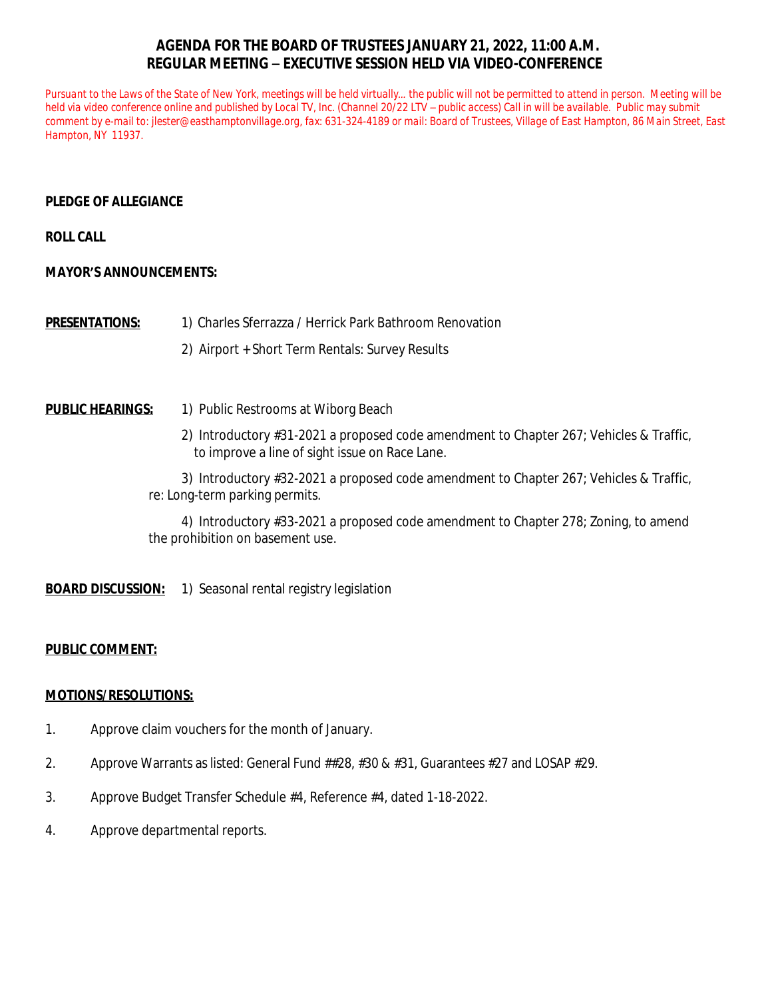# **AGENDA FOR THE BOARD OF TRUSTEES JANUARY 21, 2022, 11:00 A.M. REGULAR MEETING – EXECUTIVE SESSION HELD VIA VIDEO-CONFERENCE**

Pursuant to the Laws of the State of New York, meetings will be held virtually... the public will not be permitted to attend in person. Meeting will be *held via video conference online and published by Local TV, Inc. (Channel 20/22 LTV – public access) Call in will be available. Public may submit comment by e-mail to: [jlester@easthamptonvillage.org,](mailto:jlester@easthamptonvillage.org) fax: 631-324-4189 or mail: Board of Trustees, Village of East Hampton, 86 Main Street, East Hampton, NY 11937.*

## **PLEDGE OF ALLEGIANCE**

**ROLL CALL**

#### **MAYOR'S ANNOUNCEMENTS:**

**PRESENTATIONS:** 1) Charles Sferrazza / Herrick Park Bathroom Renovation

2) Airport + Short Term Rentals: Survey Results

## **PUBLIC HEARINGS:** 1) Public Restrooms at Wiborg Beach

2) Introductory #31-2021 a proposed code amendment to Chapter 267; Vehicles & Traffic, to improve a line of sight issue on Race Lane.

3) Introductory #32-2021 a proposed code amendment to Chapter 267; Vehicles & Traffic, re: Long-term parking permits.

4) Introductory #33-2021 a proposed code amendment to Chapter 278; Zoning, to amend the prohibition on basement use.

**BOARD DISCUSSION:** 1) Seasonal rental registry legislation

## **PUBLIC COMMENT:**

#### **MOTIONS/RESOLUTIONS:**

- 1. Approve claim vouchers for the month of January.
- 2. Approve Warrants as listed: General Fund ##28, #30 & #31, Guarantees #27 and LOSAP #29.
- 3. Approve Budget Transfer Schedule #4, Reference #4, dated 1-18-2022.
- 4. Approve departmental reports.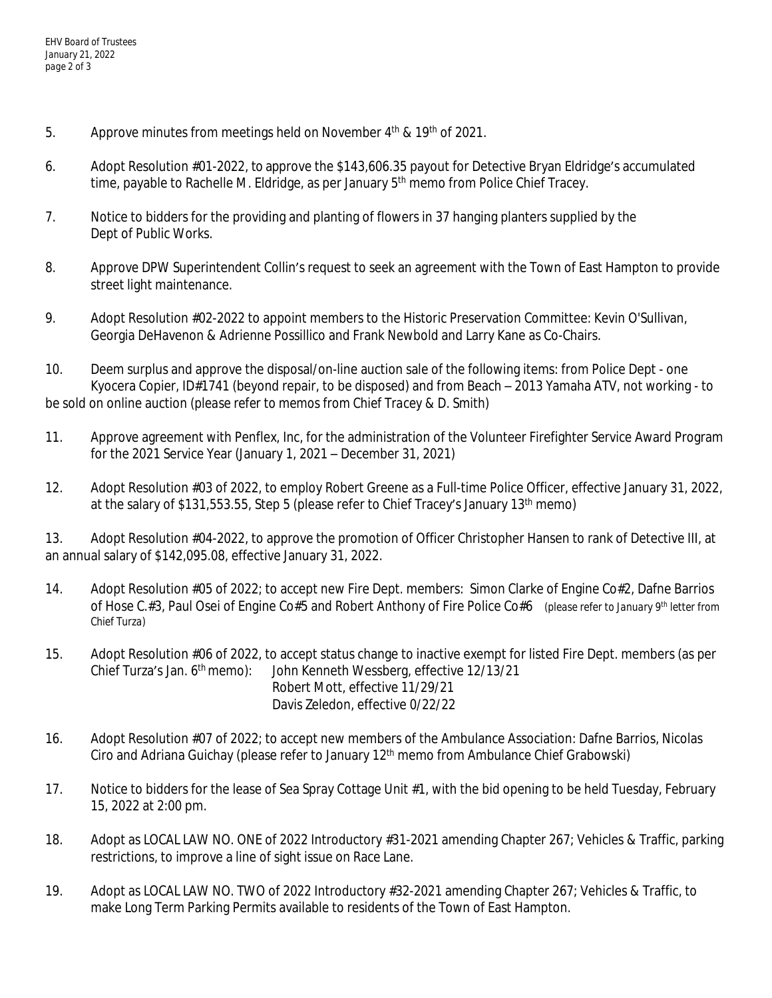- 5. Approve minutes from meetings held on November  $4<sup>th</sup>$  &  $19<sup>th</sup>$  of 2021.
- 6. Adopt Resolution #01-2022, to approve the \$143,606.35 payout for Detective Bryan Eldridge's accumulated time, payable to Rachelle M. Eldridge, as per January 5<sup>th</sup> memo from Police Chief Tracey.
- 7. Notice to bidders for the providing and planting of flowers in 37 hanging planters supplied by the Dept of Public Works.
- 8. Approve DPW Superintendent Collin's request to seek an agreement with the Town of East Hampton to provide street light maintenance.
- 9. Adopt Resolution #02-2022 to appoint members to the Historic Preservation Committee: Kevin O'Sullivan, Georgia DeHavenon & Adrienne Possillico and Frank Newbold and Larry Kane as Co-Chairs.
- 10. Deem surplus and approve the disposal/on-line auction sale of the following items: from Police Dept one Kyocera Copier, ID#1741 (beyond repair, to be disposed) and from Beach – 2013 Yamaha ATV, not working - to be sold on online auction *(please refer to memos from Chief Tracey & D. Smith)*
- 11. Approve agreement with Penflex, Inc, for the administration of the Volunteer Firefighter Service Award Program for the 2021 Service Year (January 1, 2021 – December 31, 2021)
- 12. Adopt Resolution #03 of 2022, to employ Robert Greene as a Full-time Police Officer, effective January 31, 2022, at the salary of \$131,553.55, Step 5 (please refer to Chief Tracey's January 13th memo)

13. Adopt Resolution #04-2022, to approve the promotion of Officer Christopher Hansen to rank of Detective III, at an annual salary of \$142,095.08, effective January 31, 2022.

- 14. Adopt Resolution #05 of 2022; to accept new Fire Dept. members: Simon Clarke of Engine Co#2, Dafne Barrios of Hose C.#3, Paul Osei of Engine Co#5 and Robert Anthony of Fire Police Co#6 *(please refer to January 9th letter from Chief Turza)*
- 15. Adopt Resolution #06 of 2022, to accept status change to inactive exempt for listed Fire Dept. members (as per Chief Turza's Jan. 6<sup>th</sup> memo): John Kenneth Wessberg, effective 12/13/21 Robert Mott, effective 11/29/21 Davis Zeledon, effective 0/22/22
- 16. Adopt Resolution #07 of 2022; to accept new members of the Ambulance Association: Dafne Barrios, Nicolas Ciro and Adriana Guichay (please refer to January 12th memo from Ambulance Chief Grabowski)
- 17. Notice to bidders for the lease of Sea Spray Cottage Unit #1, with the bid opening to be held Tuesday, February 15, 2022 at 2:00 pm.
- 18. Adopt as LOCAL LAW NO. ONE of 2022 Introductory #31-2021 amending Chapter 267; Vehicles & Traffic, parking restrictions, to improve a line of sight issue on Race Lane.
- 19. Adopt as LOCAL LAW NO. TWO of 2022 Introductory #32-2021 amending Chapter 267; Vehicles & Traffic, to make Long Term Parking Permits available to residents of the Town of East Hampton.